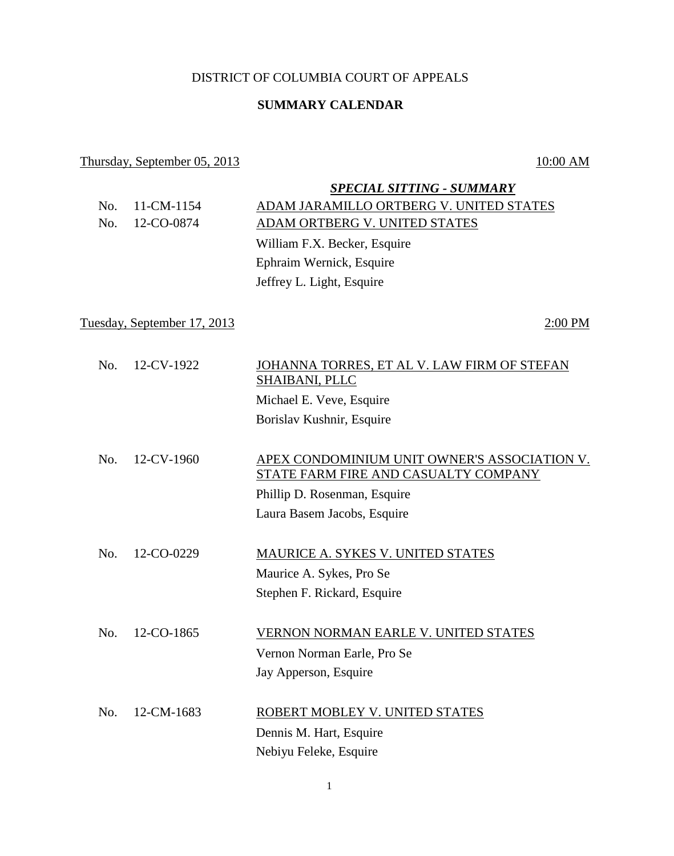## DISTRICT OF COLUMBIA COURT OF APPEALS

## **SUMMARY CALENDAR**

### Thursday, September 05, 2013 10:00 AM

*SPECIAL SITTING - SUMMARY* No. 11-CM-1154 ADAM JARAMILLO ORTBERG V. UNITED STATES No. 12-CO-0874 ADAM ORTBERG V. UNITED STATES William F.X. Becker, Esquire Ephraim Wernick, Esquire Jeffrey L. Light, Esquire Tuesday, September 17, 2013 2:00 PM No. 12-CV-1922 JOHANNA TORRES, ET AL V. LAW FIRM OF STEFAN SHAIBANI, PLLC Michael E. Veve, Esquire Borislav Kushnir, Esquire No. 12-CV-1960 APEX CONDOMINIUM UNIT OWNER'S ASSOCIATION V. STATE FARM FIRE AND CASUALTY COMPANY Phillip D. Rosenman, Esquire Laura Basem Jacobs, Esquire No. 12-CO-0229 MAURICE A. SYKES V. UNITED STATES Maurice A. Sykes, Pro Se Stephen F. Rickard, Esquire No. 12-CO-1865 VERNON NORMAN EARLE V. UNITED STATES Vernon Norman Earle, Pro Se Jay Apperson, Esquire

No. 12-CM-1683 ROBERT MOBLEY V. UNITED STATES Dennis M. Hart, Esquire Nebiyu Feleke, Esquire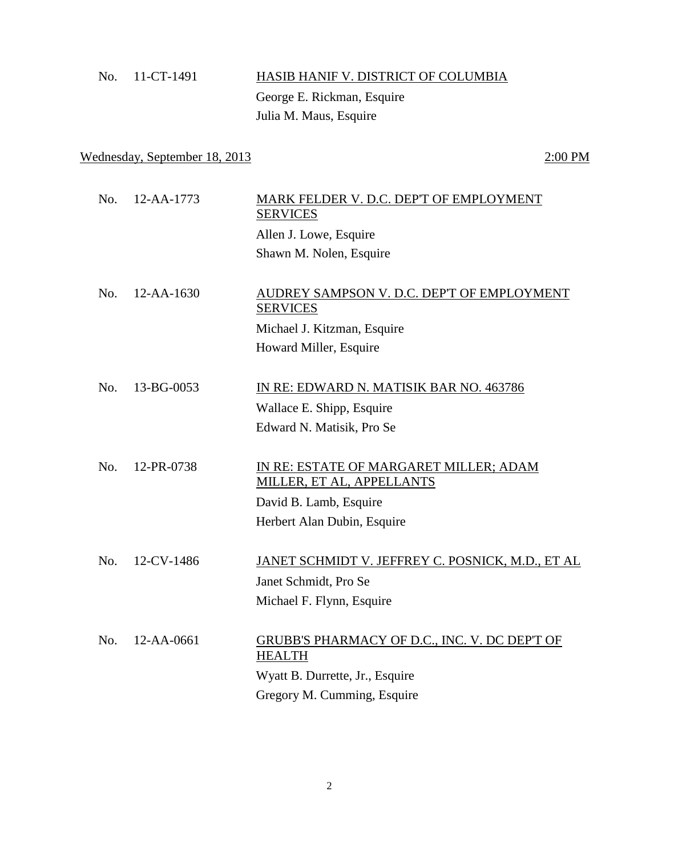# No. 11-CT-1491 HASIB HANIF V. DISTRICT OF COLUMBIA George E. Rickman, Esquire Julia M. Maus, Esquire

## Wednesday, September 18, 2013 2:00 PM

| No. | 12-AA-1773       | MARK FELDER V. D.C. DEP'T OF EMPLOYMENT<br><b>SERVICES</b>     |
|-----|------------------|----------------------------------------------------------------|
|     |                  | Allen J. Lowe, Esquire                                         |
|     |                  | Shawn M. Nolen, Esquire                                        |
|     |                  |                                                                |
| No. | $12 - AA - 1630$ | AUDREY SAMPSON V. D.C. DEP'T OF EMPLOYMENT<br><b>SERVICES</b>  |
|     |                  | Michael J. Kitzman, Esquire                                    |
|     |                  | Howard Miller, Esquire                                         |
|     |                  |                                                                |
| No. | 13-BG-0053       | IN RE: EDWARD N. MATISIK BAR NO. 463786                        |
|     |                  | Wallace E. Shipp, Esquire                                      |
|     |                  | Edward N. Matisik, Pro Se                                      |
|     |                  |                                                                |
| No. | 12-PR-0738       | IN RE: ESTATE OF MARGARET MILLER; ADAM                         |
|     |                  | MILLER, ET AL, APPELLANTS                                      |
|     |                  | David B. Lamb, Esquire                                         |
|     |                  | Herbert Alan Dubin, Esquire                                    |
|     |                  |                                                                |
| No. | 12-CV-1486       | <u>JANET SCHMIDT V. JEFFREY C. POSNICK, M.D., ET AL</u>        |
|     |                  | Janet Schmidt, Pro Se                                          |
|     |                  | Michael F. Flynn, Esquire                                      |
|     |                  |                                                                |
| No. | 12-AA-0661       | GRUBB'S PHARMACY OF D.C., INC. V. DC DEP'T OF<br><b>HEALTH</b> |
|     |                  | Wyatt B. Durrette, Jr., Esquire                                |
|     |                  | Gregory M. Cumming, Esquire                                    |
|     |                  |                                                                |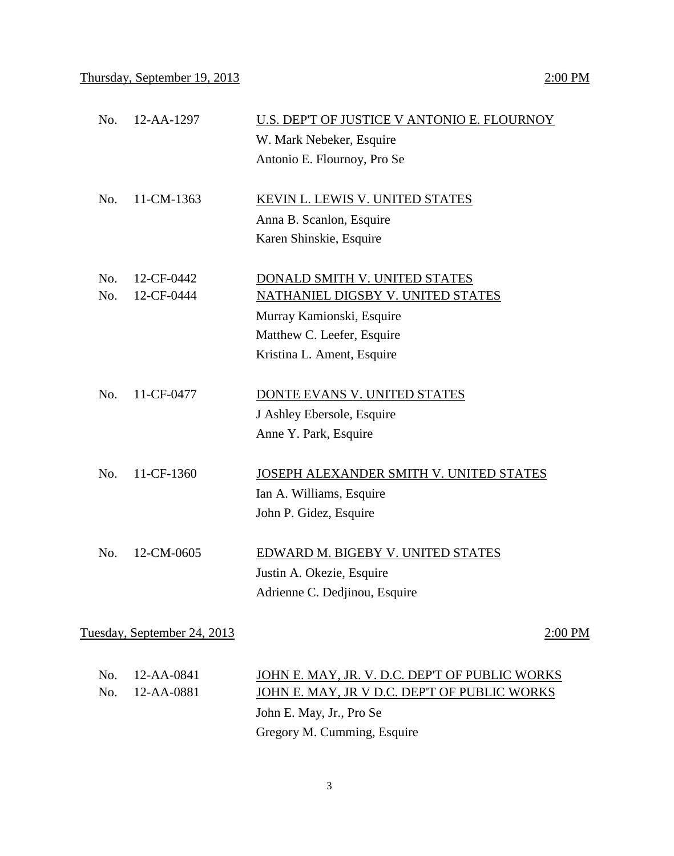| No. | 12-AA-1297                  | U.S. DEP'T OF JUSTICE V ANTONIO E. FLOURNOY    |
|-----|-----------------------------|------------------------------------------------|
|     |                             | W. Mark Nebeker, Esquire                       |
|     |                             | Antonio E. Flournoy, Pro Se                    |
|     |                             |                                                |
| No. | 11-CM-1363                  | <b>KEVIN L. LEWIS V. UNITED STATES</b>         |
|     |                             | Anna B. Scanlon, Esquire                       |
|     |                             | Karen Shinskie, Esquire                        |
|     |                             |                                                |
| No. | 12-CF-0442                  | DONALD SMITH V. UNITED STATES                  |
| No. | 12-CF-0444                  | NATHANIEL DIGSBY V. UNITED STATES              |
|     |                             | Murray Kamionski, Esquire                      |
|     |                             | Matthew C. Leefer, Esquire                     |
|     |                             | Kristina L. Ament, Esquire                     |
|     |                             |                                                |
| No. | 11-CF-0477                  | DONTE EVANS V. UNITED STATES                   |
|     |                             | J Ashley Ebersole, Esquire                     |
|     |                             | Anne Y. Park, Esquire                          |
|     |                             |                                                |
| No. | 11-CF-1360                  | JOSEPH ALEXANDER SMITH V. UNITED STATES        |
|     |                             | Ian A. Williams, Esquire                       |
|     |                             | John P. Gidez, Esquire                         |
|     |                             |                                                |
| No. | 12-CM-0605                  | EDWARD M. BIGEBY V. UNITED STATES              |
|     |                             | Justin A. Okezie, Esquire                      |
|     |                             | Adrienne C. Dedjinou, Esquire                  |
|     |                             |                                                |
|     | Tuesday, September 24, 2013 | 2:00 PM                                        |
|     |                             |                                                |
| No. | 12-AA-0841                  | JOHN E. MAY, JR. V. D.C. DEP'T OF PUBLIC WORKS |

Gregory M. Cumming, Esquire

No. 12-AA-0881 JOHN E. MAY, JR V D.C. DEP'T OF PUBLIC WORKS John E. May, Jr., Pro Se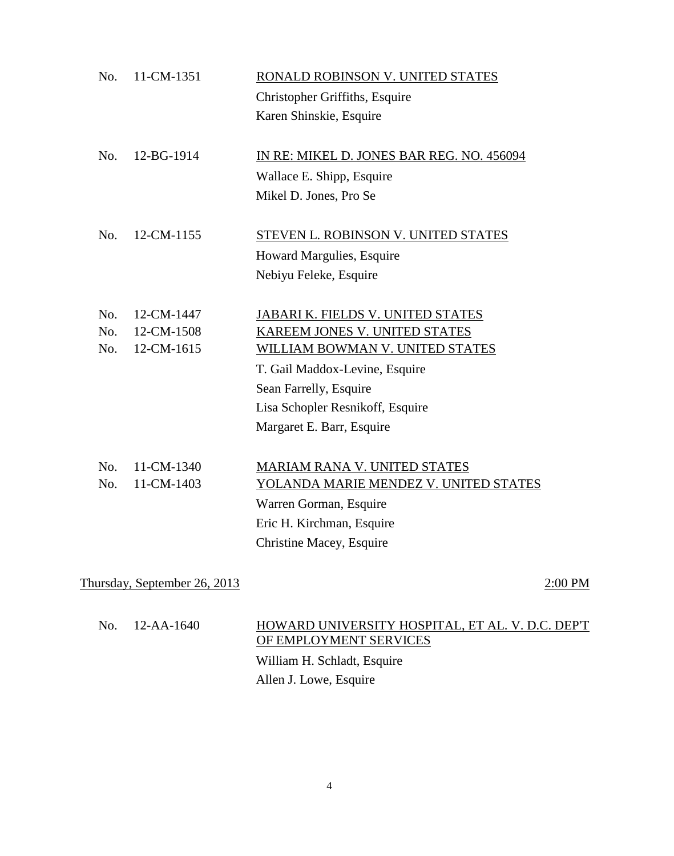| No. | 11-CM-1351        | RONALD ROBINSON V. UNITED STATES          |
|-----|-------------------|-------------------------------------------|
|     |                   | Christopher Griffiths, Esquire            |
|     |                   | Karen Shinskie, Esquire                   |
|     |                   |                                           |
| No. | 12-BG-1914        | IN RE: MIKEL D. JONES BAR REG. NO. 456094 |
|     |                   | Wallace E. Shipp, Esquire                 |
|     |                   | Mikel D. Jones, Pro Se                    |
|     |                   |                                           |
| No. | 12-CM-1155        | STEVEN L. ROBINSON V. UNITED STATES       |
|     |                   | Howard Margulies, Esquire                 |
|     |                   | Nebiyu Feleke, Esquire                    |
|     |                   |                                           |
| No. | 12-CM-1447        | JABARI K. FIELDS V. UNITED STATES         |
| No. | 12-CM-1508        | KAREEM JONES V. UNITED STATES             |
|     | 12-CM-1615<br>No. | WILLIAM BOWMAN V. UNITED STATES           |
|     |                   | T. Gail Maddox-Levine, Esquire            |
|     |                   | Sean Farrelly, Esquire                    |
|     |                   | Lisa Schopler Resnikoff, Esquire          |
|     |                   | Margaret E. Barr, Esquire                 |
|     |                   |                                           |
| No. | 11-CM-1340        | MARIAM RANA V. UNITED STATES              |
| No. | 11-CM-1403        | YOLANDA MARIE MENDEZ V. UNITED STATES     |
|     |                   | Warren Gorman, Esquire                    |
|     |                   | Eric H. Kirchman, Esquire                 |
|     |                   | Christine Macey, Esquire                  |
|     |                   |                                           |

Thursday, September 26, 2013 2:00 PM

| $\text{No.}$ 12-AA-1640 | HOWARD UNIVERSITY HOSPITAL, ET AL. V. D.C. DEP'T<br>OF EMPLOYMENT SERVICES |
|-------------------------|----------------------------------------------------------------------------|
|                         | William H. Schladt, Esquire                                                |
|                         | Allen J. Lowe, Esquire                                                     |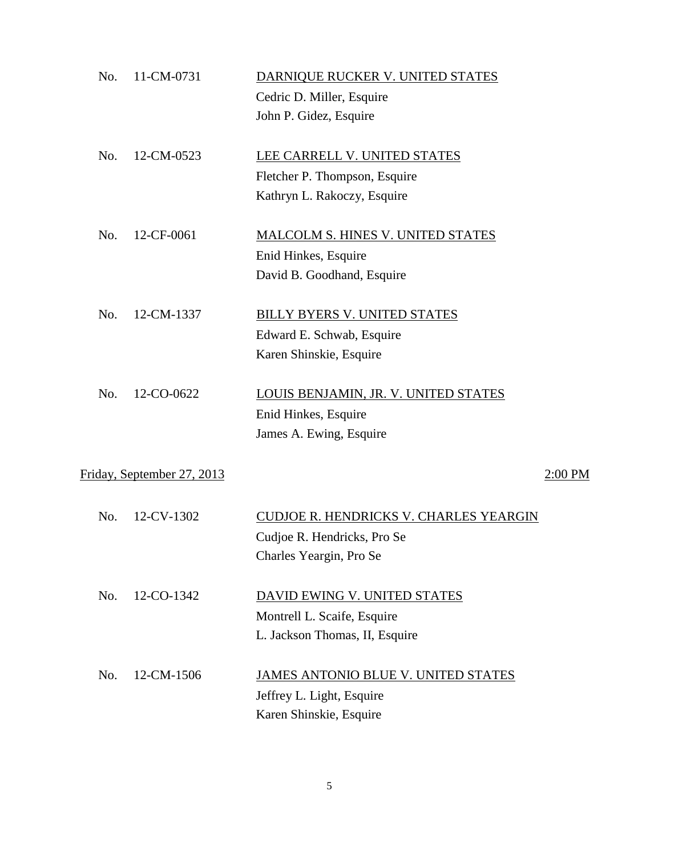| No. | 11-CM-0731                 | DARNIQUE RUCKER V. UNITED STATES         |         |
|-----|----------------------------|------------------------------------------|---------|
|     |                            | Cedric D. Miller, Esquire                |         |
|     |                            | John P. Gidez, Esquire                   |         |
| No. | 12-CM-0523                 | LEE CARRELL V. UNITED STATES             |         |
|     |                            | Fletcher P. Thompson, Esquire            |         |
|     |                            | Kathryn L. Rakoczy, Esquire              |         |
| No. | 12-CF-0061                 | <b>MALCOLM S. HINES V. UNITED STATES</b> |         |
|     |                            | Enid Hinkes, Esquire                     |         |
|     |                            | David B. Goodhand, Esquire               |         |
| No. | 12-CM-1337                 | BILLY BYERS V. UNITED STATES             |         |
|     |                            | Edward E. Schwab, Esquire                |         |
|     |                            | Karen Shinskie, Esquire                  |         |
| No. | 12-CO-0622                 | LOUIS BENJAMIN, JR. V. UNITED STATES     |         |
|     |                            | Enid Hinkes, Esquire                     |         |
|     |                            | James A. Ewing, Esquire                  |         |
|     | Friday, September 27, 2013 |                                          | 2:00 PM |
| No. | 12-CV-1302                 | CUDJOE R. HENDRICKS V. CHARLES YEARGIN   |         |
|     |                            | Cudjoe R. Hendricks, Pro Se              |         |
|     |                            | Charles Yeargin, Pro Se                  |         |
|     |                            |                                          |         |
| No. | 12-CO-1342                 | DAVID EWING V. UNITED STATES             |         |
|     |                            | Montrell L. Scaife, Esquire              |         |
|     |                            | L. Jackson Thomas, II, Esquire           |         |
| No. | 12-CM-1506                 | JAMES ANTONIO BLUE V. UNITED STATES      |         |
|     |                            | Jeffrey L. Light, Esquire                |         |
|     |                            | Karen Shinskie, Esquire                  |         |